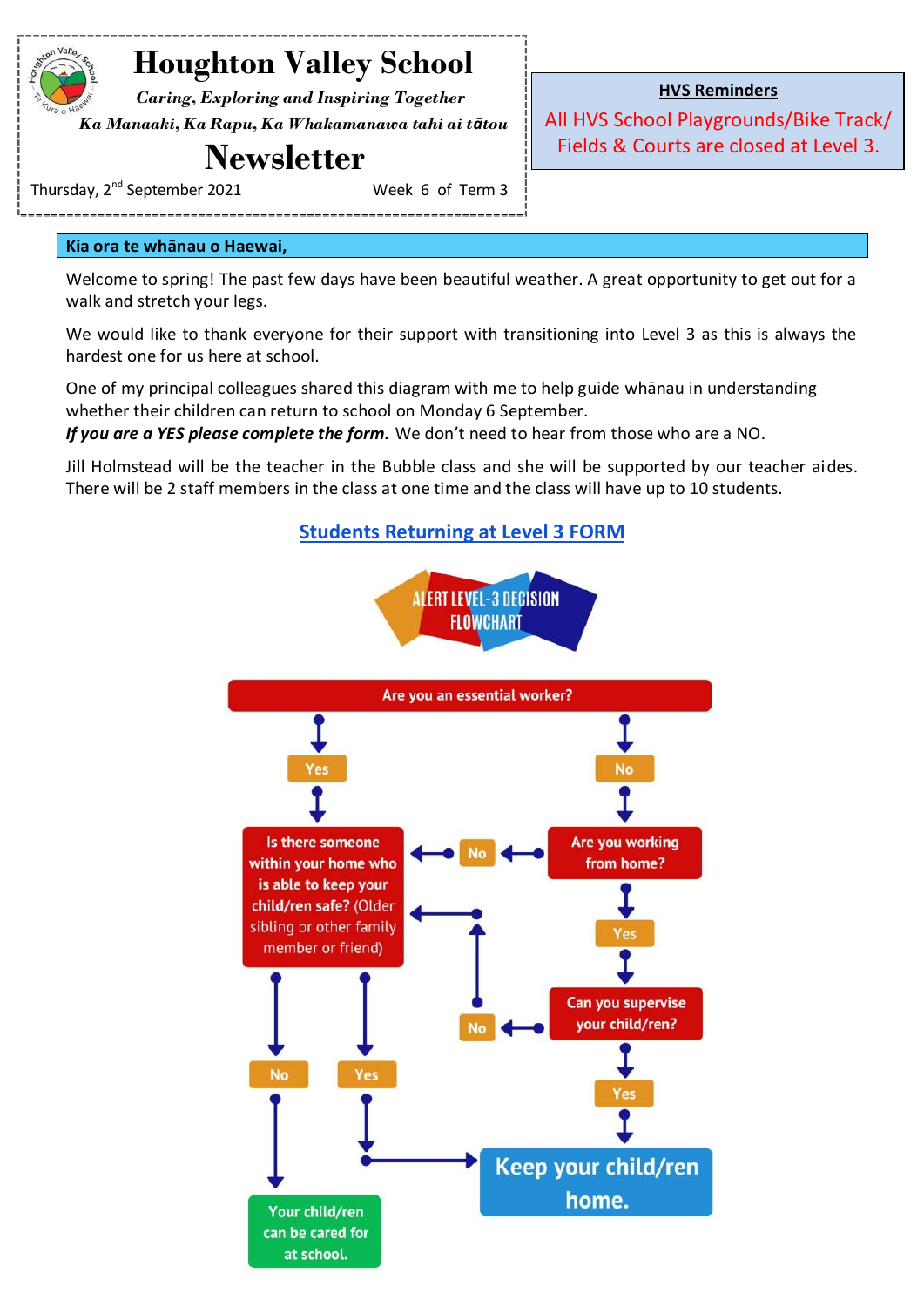# **Houghton Valley School**

 *Caring, Exploring and Inspiring Together Ka Manaaki, Ka Rapu, Ka Whakamanawa tahi ai tātou*

# **Newsletter**

Thursday, 2<sup>nd</sup> September 2021 **Music Contact Contact A** Week 6 of Term 3

**HVS Reminders**

All HVS School Playgrounds/Bike Track/ Fields & Courts are closed at Level 3.

**Kia ora te whānau o Haewai,**

Welcome to spring! The past few days have been beautiful weather. A great opportunity to get out for a walk and stretch your legs.

We would like to thank everyone for their support with transitioning into Level 3 as this is always the hardest one for us here at school.

One of my principal colleagues shared this diagram with me to help guide whānau in understanding whether their children can return to school on Monday 6 September.

If you are a YES please complete the form. We don't need to hear from those who are a NO.

Jill Holmstead will be the teacher in the Bubble class and she will be supported by our teacher aides. There will be 2 staff members in the class at one time and the class will have up to 10 students.

**[Students Returning at Level 3 FORM](https://docs.google.com/forms/d/e/1FAIpQLSeoslAWEmmofQk1R8BR1JSfjKMCsTD2GGNTSeoNgmUuB4Sy4w/viewform?usp=sf_link)**



can be cared for at school.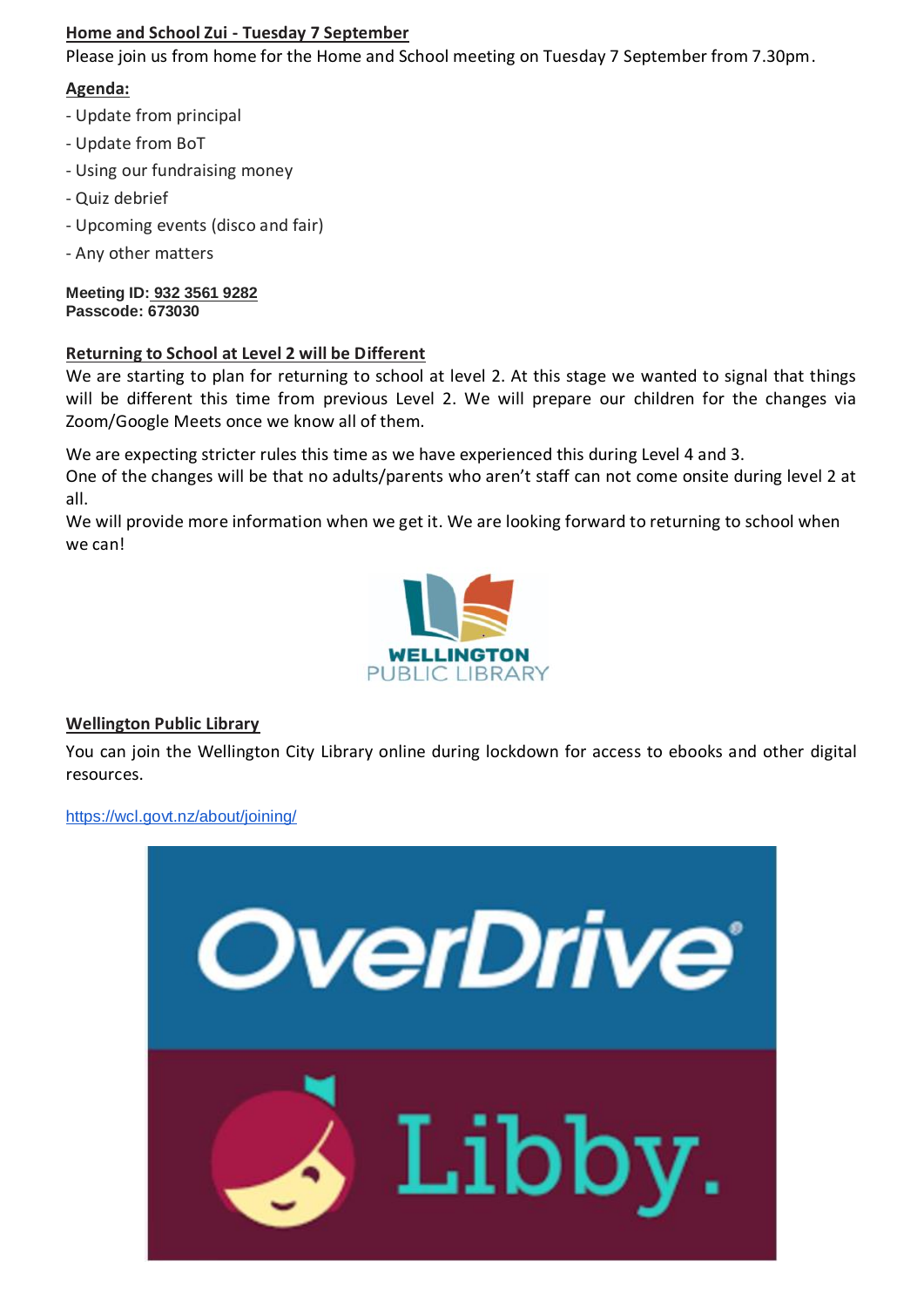### **Home and School Zui - Tuesday 7 September**

Please join us from home for the Home and School meeting on Tuesday 7 September from 7.30pm.

### **Agenda:**

- Update from principal
- Update from BoT
- Using our fundraising money
- Quiz debrief
- Upcoming events (disco and fair)
- Any other matters

**Meeting ID: 932 3561 9282 Passcode: 673030**

#### **Returning to School at Level 2 will be Different**

We are starting to plan for returning to school at level 2. At this stage we wanted to signal that things will be different this time from previous Level 2. We will prepare our children for the changes via Zoom/Google Meets once we know all of them.

We are expecting stricter rules this time as we have experienced this during Level 4 and 3.

One of the changes will be that no adults/parents who aren't staff can not come onsite during level 2 at all.

We will provide more information when we get it. We are looking forward to returning to school when we can!



#### **Wellington Public Library**

You can join the Wellington City Library online during lockdown for access to ebooks and other digital resources.

<https://wcl.govt.nz/about/joining/>

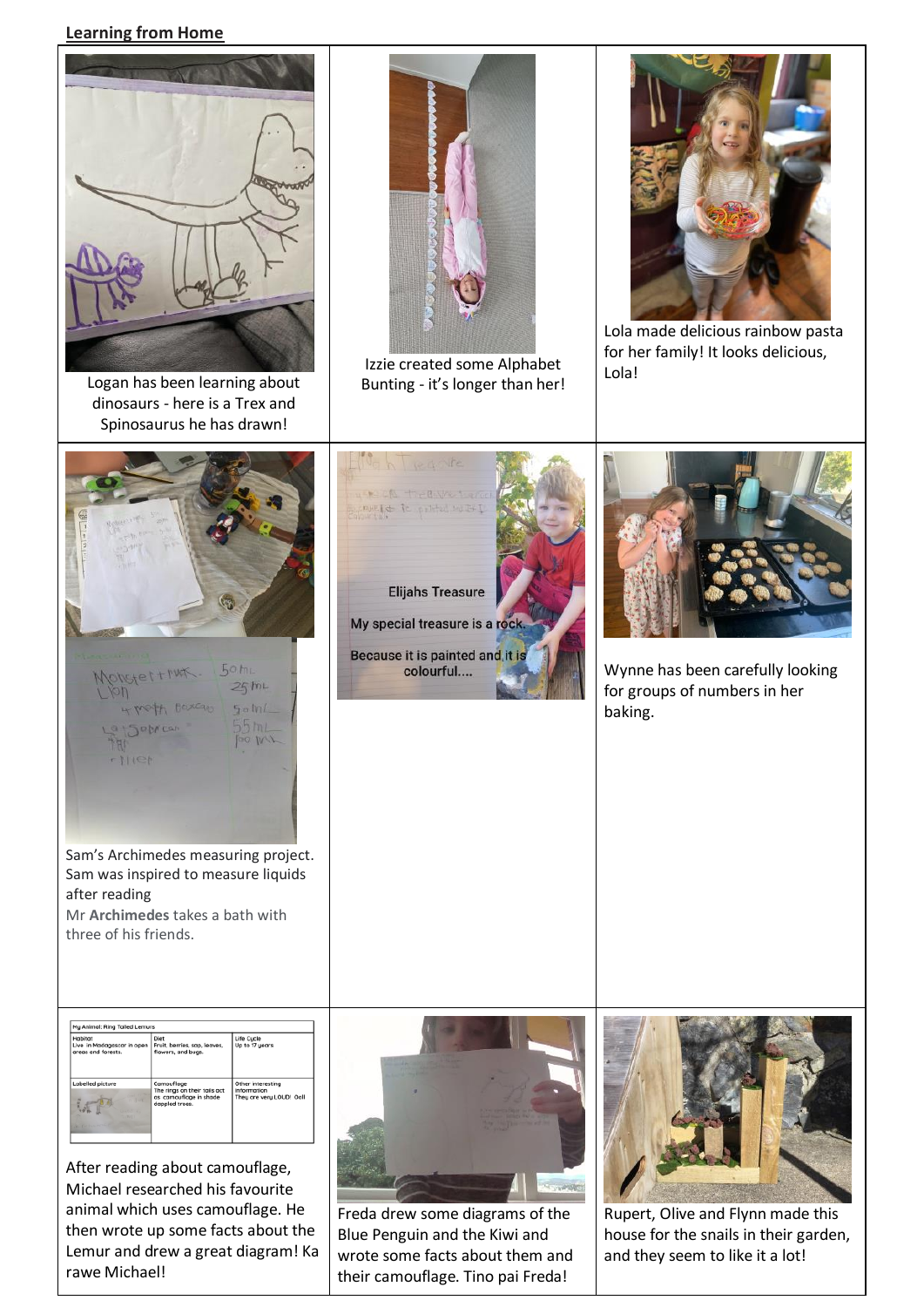#### **Learning from Home**



After reading about camouflage, Michael researched his favourite animal which uses camouflage. He then wrote up some facts about the Lemur and drew a great diagram! Ka rawe Michael!



Rupert, Olive and Flynn made this house for the snails in their garden, and they seem to like it a lot!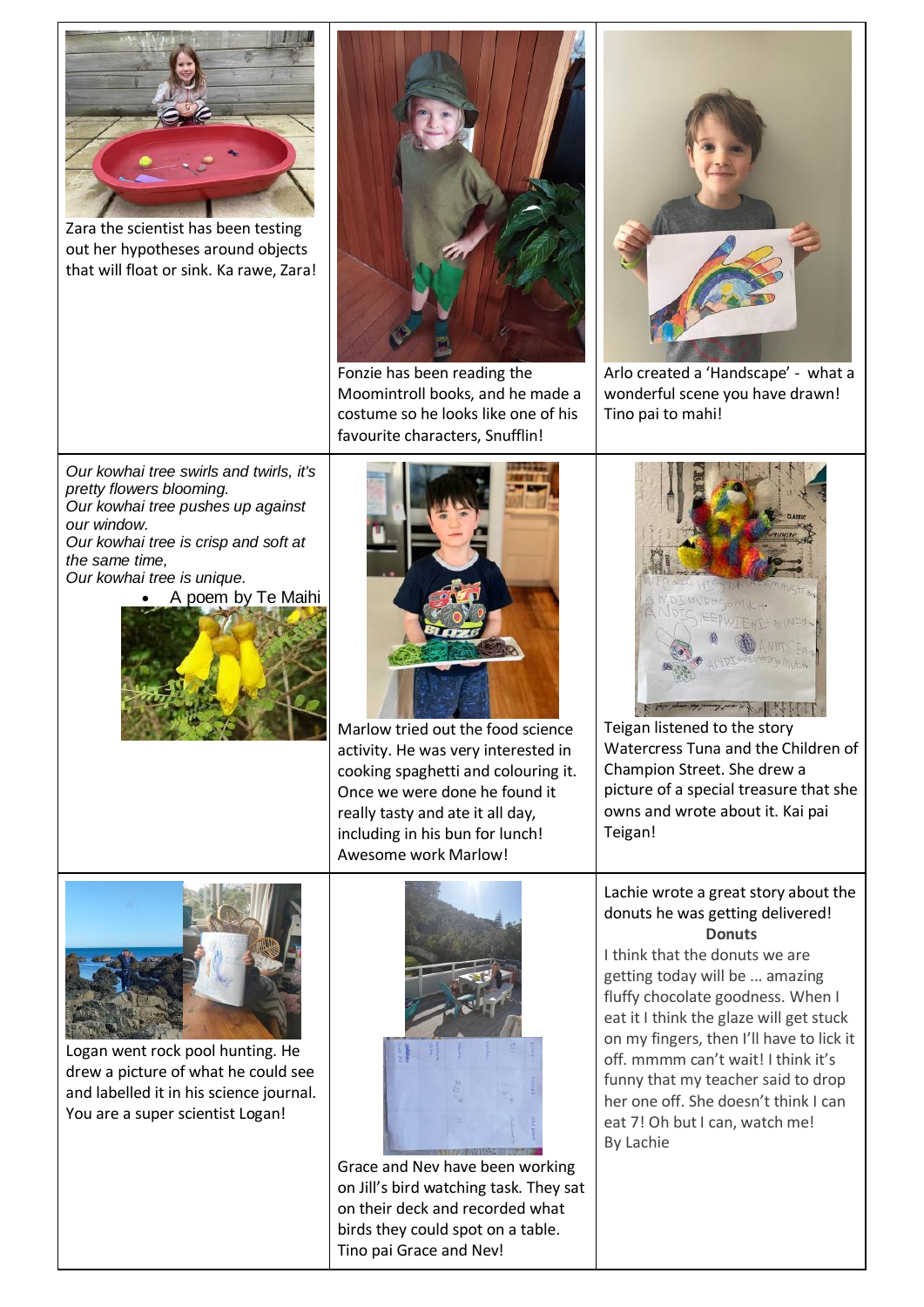

Zara the scientist has been testing out her hypotheses around objects that will float or sink. Ka rawe, Zara!



Fonzie has been reading the Moomintroll books, and he made a costume so he looks like one of his favourite characters, Snufflin!



Arlo created a 'Handscape' - what a wonderful scene you have drawn! Tino pai to mahi!

*Our kowhai tree swirls and twirls, it's pretty flowers blooming. Our kowhai tree pushes up against our window.*

*Our kowhai tree is crisp and soft at the same time, Our kowhai tree is unique.*

A poem by Te Maihi





Marlow tried out the food science activity. He was very interested in cooking spaghetti and colouring it. Once we were done he found it really tasty and ate it all day, including in his bun for lunch! Awesome work Marlow!



Teigan listened to the story Watercress Tuna and the Children of Champion Street. She drew a picture of a special treasure that she owns and wrote about it. Kai pai Teigan!

#### Lachie wrote a great story about the donuts he was getting delivered! **Donuts**

I think that the donuts we are getting today will be ... amazing fluffy chocolate goodness. When I eat it I think the glaze will get stuck on my fingers, then I'll have to lick it off. mmmm can't wait! I think it's funny that my teacher said to drop her one off. She doesn't think I can eat 7! Oh but I can, watch me! By Lachie



Logan went rock pool hunting. He drew a picture of what he could see and labelled it in his science journal. You are a super scientist Logan!



Grace and Nev have been working on Jill's bird watching task. They sat on their deck and recorded what birds they could spot on a table. Tino pai Grace and Nev!